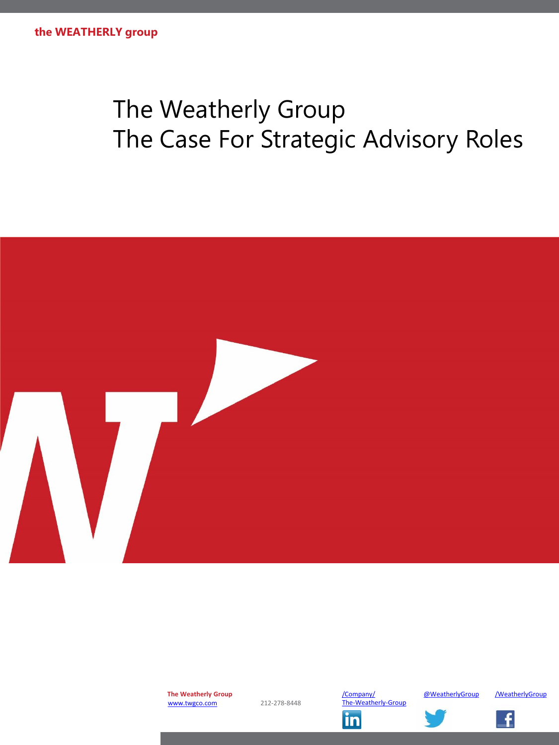# The Weatherly Group The Case For Strategic Advisory Roles



**The Weatherly Group** [www.twgco.com](http://www.twgco.com/) 212-278-8448

[/Company/](http://www.linkedin.com/company/the-weatherly-group) [@WeatherlyGroup](https://twitter.com/WeatherlyGroup) [/WeatherlyGroup](https://www.facebook.com/WeatherlyGroup) The-Weatherly-Groupin

![](_page_0_Picture_8.jpeg)

![](_page_0_Picture_9.jpeg)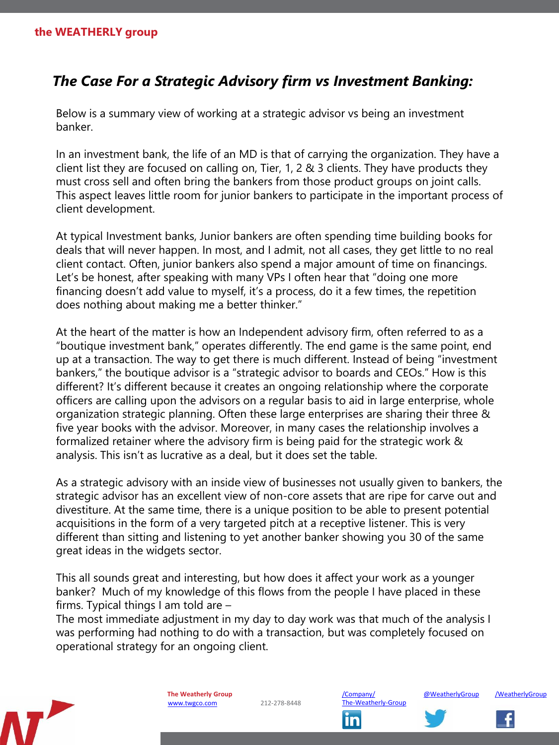# *The Case For a Strategic Advisory firm vs Investment Banking:*

Below is a summary view of working at a strategic advisor vs being an investment banker.

In an investment bank, the life of an MD is that of carrying the organization. They have a client list they are focused on calling on, Tier, 1, 2 & 3 clients. They have products they must cross sell and often bring the bankers from those product groups on joint calls. This aspect leaves little room for junior bankers to participate in the important process of client development.

At typical Investment banks, Junior bankers are often spending time building books for deals that will never happen. In most, and I admit, not all cases, they get little to no real client contact. Often, junior bankers also spend a major amount of time on financings. Let's be honest, after speaking with many VPs I often hear that "doing one more financing doesn't add value to myself, it's a process, do it a few times, the repetition does nothing about making me a better thinker."

At the heart of the matter is how an Independent advisory firm, often referred to as a "boutique investment bank," operates differently. The end game is the same point, end up at a transaction. The way to get there is much different. Instead of being "investment bankers," the boutique advisor is a "strategic advisor to boards and CEOs." How is this different? It's different because it creates an ongoing relationship where the corporate officers are calling upon the advisors on a regular basis to aid in large enterprise, whole organization strategic planning. Often these large enterprises are sharing their three & five year books with the advisor. Moreover, in many cases the relationship involves a formalized retainer where the advisory firm is being paid for the strategic work & analysis. This isn't as lucrative as a deal, but it does set the table.

As a strategic advisory with an inside view of businesses not usually given to bankers, the strategic advisor has an excellent view of non-core assets that are ripe for carve out and divestiture. At the same time, there is a unique position to be able to present potential acquisitions in the form of a very targeted pitch at a receptive listener. This is very different than sitting and listening to yet another banker showing you 30 of the same great ideas in the widgets sector.

This all sounds great and interesting, but how does it affect your work as a younger banker? Much of my knowledge of this flows from the people I have placed in these firms. Typical things I am told are –

The most immediate adjustment in my day to day work was that much of the analysis I was performing had nothing to do with a transaction, but was completely focused on operational strategy for an ongoing client.

![](_page_1_Picture_9.jpeg)

**The Weatherly Group** [www.twgco.com](http://www.twgco.com/) 212-278-8448

The-Weatherly-Group

In

[/Company/](http://www.linkedin.com/company/the-weatherly-group) [@WeatherlyGroup](https://twitter.com/WeatherlyGroup) [/WeatherlyGroup](https://www.facebook.com/WeatherlyGroup)

![](_page_1_Picture_14.jpeg)

![](_page_1_Picture_15.jpeg)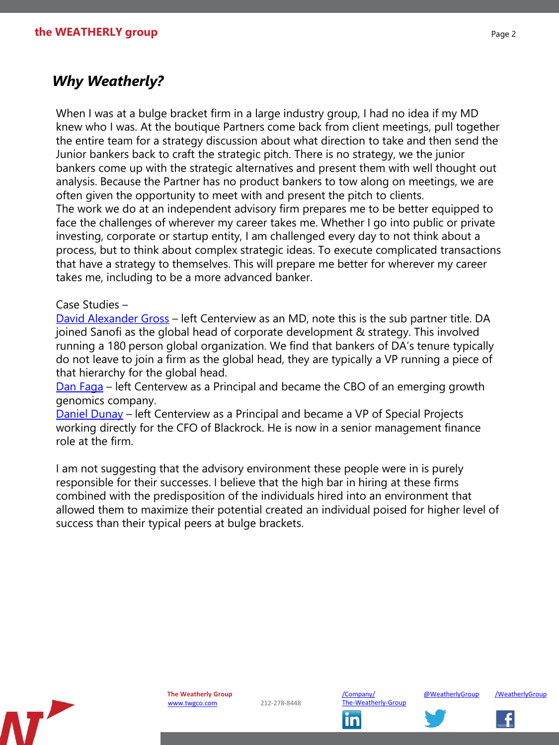# *Why Weatherly?*

When I was at a bulge bracket firm in a large industry group, I had no idea if my MD knew who I was. At the boutique Partners come back from client meetings, pull together the entire team for a strategy discussion about what direction to take and then send the Junior bankers back to craft the strategic pitch. There is no strategy, we the junior bankers come up with the strategic alternatives and present them with well thought out analysis. Because the Partner has no product bankers to tow along on meetings, we are often given the opportunity to meet with and present the pitch to clients.

The work we do at an independent advisory firm prepares me to be better equipped to face the challenges of wherever my career takes me. Whether I go into public or private investing, corporate or startup entity, I am challenged every day to not think about a process, but to think about complex strategic ideas. To execute complicated transactions that have a strategy to themselves. This will prepare me better for wherever my career takes me, including to be a more advanced banker.

#### Case Studies –

[David Alexander Gross](https://www.google.com/webhp?sourceid=chrome-instant&ion=1&espv=2&ie=UTF-8#q=david+alexandre+gross) – left Centerview as an MD, note this is the sub partner title. DA joined Sanofi as the global head of corporate development & strategy. This involved running a 180 person global organization. We find that bankers of DA's tenure typically do not leave to join a firm as the global head, they are typically a VP running a piece of that hierarchy for the global head.

[Dan Faga](https://www.google.com/webhp?sourceid=chrome-instant&ion=1&espv=2&ie=UTF-8#q=daniel+faga) – left Centervew as a Principal and became the CBO of an emerging growth genomics company.

[Daniel Dunay](https://www.linkedin.com/in/daniel-dunay-4944869) – left Centerview as a Principal and became a VP of Special Projects working directly for the CFO of Blackrock. He is now in a senior management finance role at the firm.

I am not suggesting that the advisory environment these people were in is purely responsible for their successes. I believe that the high bar in hiring at these firms combined with the predisposition of the individuals hired into an environment that allowed them to maximize their potential created an individual poised for higher level of success than their typical peers at bulge brackets.

![](_page_2_Picture_9.jpeg)

![](_page_2_Picture_12.jpeg)

![](_page_2_Picture_14.jpeg)

![](_page_2_Picture_16.jpeg)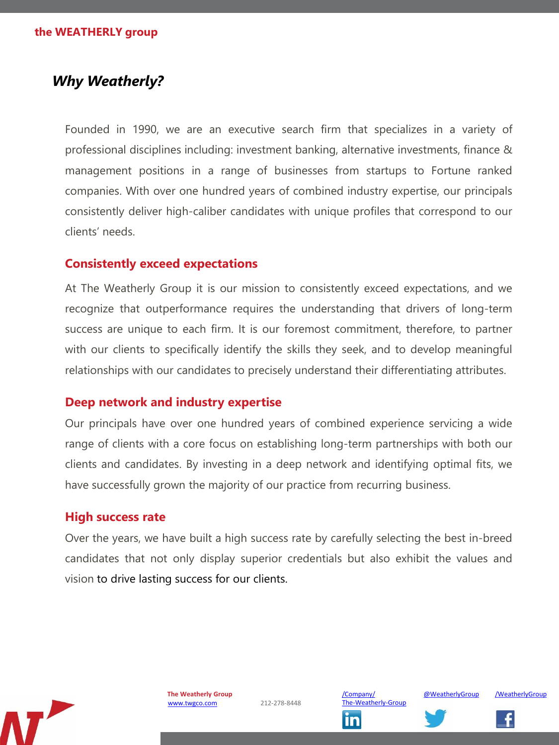# *Why Weatherly?*

Founded in 1990, we are an executive search firm that specializes in a variety of professional disciplines including: investment banking, alternative investments, finance & management positions in a range of businesses from startups to Fortune ranked companies. With over one hundred years of combined industry expertise, our principals consistently deliver high-caliber candidates with unique profiles that correspond to our clients' needs.

## **Consistently exceed expectations**

At The Weatherly Group it is our mission to consistently exceed expectations, and we recognize that outperformance requires the understanding that drivers of long-term success are unique to each firm. It is our foremost commitment, therefore, to partner with our clients to specifically identify the skills they seek, and to develop meaningful relationships with our candidates to precisely understand their differentiating attributes.

## **Deep network and industry expertise**

Our principals have over one hundred years of combined experience servicing a wide range of clients with a core focus on establishing long-term partnerships with both our clients and candidates. By investing in a deep network and identifying optimal fits, we have successfully grown the majority of our practice from recurring business.

## **High success rate**

Over the years, we have built a high success rate by carefully selecting the best in-breed candidates that not only display superior credentials but also exhibit the values and vision to drive lasting success for our clients.

![](_page_3_Picture_9.jpeg)

![](_page_3_Picture_12.jpeg)

![](_page_3_Picture_15.jpeg)

![](_page_3_Picture_16.jpeg)

![](_page_3_Picture_17.jpeg)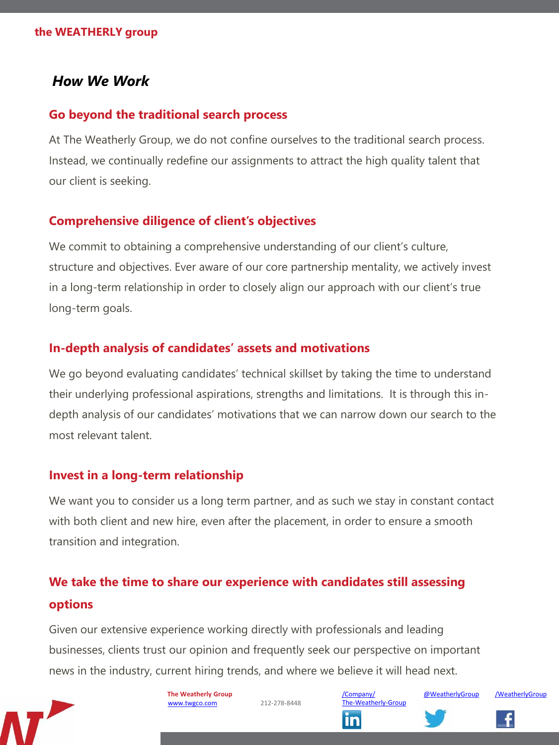### **the WEATHERLY group**

## *How We Work*

## **Go beyond the traditional search process**

At The Weatherly Group, we do not confine ourselves to the traditional search process. Instead, we continually redefine our assignments to attract the high quality talent that our client is seeking.

## **Comprehensive diligence of client's objectives**

We commit to obtaining a comprehensive understanding of our client's culture, structure and objectives. Ever aware of our core partnership mentality, we actively invest in a long-term relationship in order to closely align our approach with our client's true long-term goals.

## **In-depth analysis of candidates' assets and motivations**

We go beyond evaluating candidates' technical skillset by taking the time to understand their underlying professional aspirations, strengths and limitations. It is through this indepth analysis of our candidates' motivations that we can narrow down our search to the most relevant talent.

## **Invest in a long-term relationship**

We want you to consider us a long term partner, and as such we stay in constant contact with both client and new hire, even after the placement, in order to ensure a smooth transition and integration.

# **We take the time to share our experience with candidates still assessing options**

Given our extensive experience working directly with professionals and leading businesses, clients trust our opinion and frequently seek our perspective on important news in the industry, current hiring trends, and where we believe it will head next.

![](_page_4_Picture_12.jpeg)

**The Weatherly Group** [www.twgco.com](http://www.twgco.com/) 212-278-8448

[/Company/](http://www.linkedin.com/company/the-weatherly-group) [@WeatherlyGroup](https://twitter.com/WeatherlyGroup) [/WeatherlyGroup](https://www.facebook.com/WeatherlyGroup) The-Weatherly-GroupIn

![](_page_4_Picture_17.jpeg)

![](_page_4_Picture_18.jpeg)

![](_page_4_Picture_19.jpeg)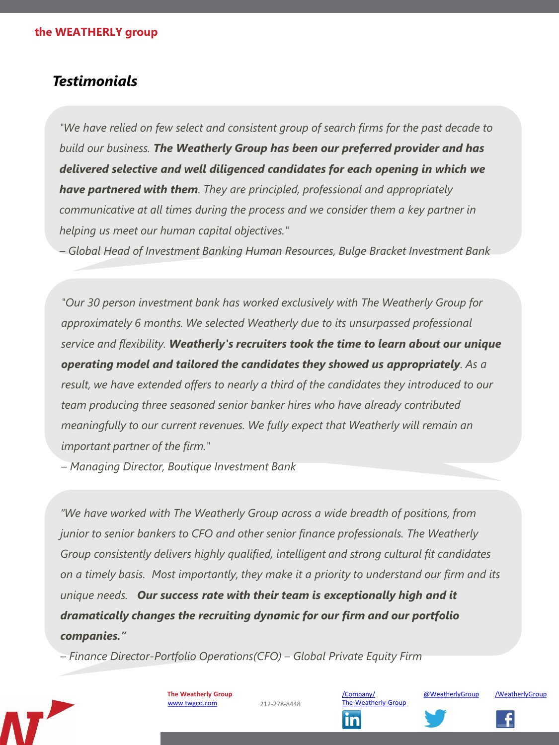# *Testimonials*

*"We have relied on few select and consistent group of search firms for the past decade to build our business. The Weatherly Group has been our preferred provider and has delivered selective and well diligenced candidates for each opening in which we have partnered with them. They are principled, professional and appropriately communicative at all times during the process and we consider them a key partner in helping us meet our human capital objectives."* 

*– Global Head of Investment Banking Human Resources, Bulge Bracket Investment Bank*

*"Our 30 person investment bank has worked exclusively with The Weatherly Group for approximately 6 months. We selected Weatherly due to its unsurpassed professional service and flexibility. Weatherly's recruiters took the time to learn about our unique operating model and tailored the candidates they showed us appropriately. As a result, we have extended offers to nearly a third of the candidates they introduced to our team producing three seasoned senior banker hires who have already contributed meaningfully to our current revenues. We fully expect that Weatherly will remain an important partner of the firm."* 

*– Managing Director, Boutique Investment Bank*

*"We have worked with The Weatherly Group across a wide breadth of positions, from junior to senior bankers to CFO and other senior finance professionals. The Weatherly Group consistently delivers highly qualified, intelligent and strong cultural fit candidates on a timely basis. Most importantly, they make it a priority to understand our firm and its unique needs. Our success rate with their team is exceptionally high and it dramatically changes the recruiting dynamic for our firm and our portfolio companies."* 

*– Finance Director-Portfolio Operations(CFO) – Global Private Equity Firm*

![](_page_5_Picture_8.jpeg)

**The Weatherly Group** [www.twgco.com](http://www.twgco.com/) 212-278-8448

The-Weatherly-Group

ın

![](_page_5_Picture_13.jpeg)

![](_page_5_Picture_14.jpeg)

![](_page_5_Picture_16.jpeg)